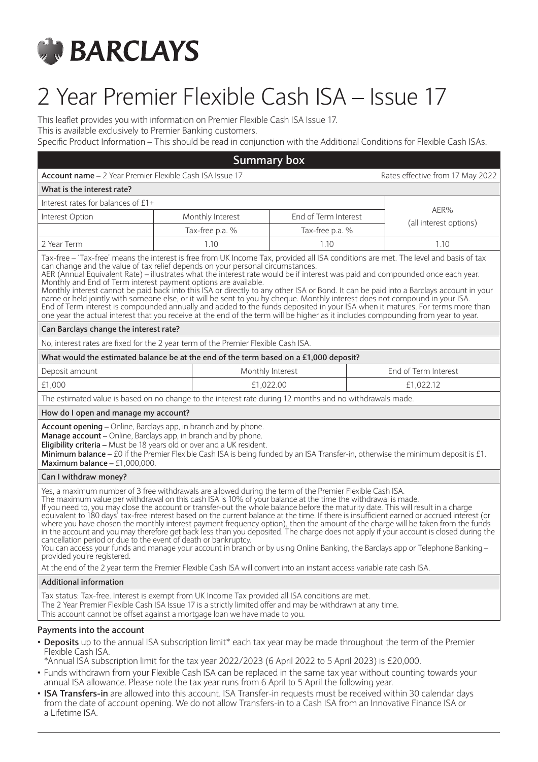

# 2 Year Premier Flexible Cash ISA – Issue 17

This leaflet provides you with information on Premier Flexible Cash ISA Issue 17.

This is available exclusively to Premier Banking customers.

Specific Product Information – This should be read in conjunction with the Additional Conditions for Flexible Cash ISAs.

| <b>Summary box</b>                                                                                                                                                                                                                                                                                                                                                                                                                                                                                                                                                                                                                                                                                                                                                                                                                                                                                                                                                                                                               |  |                                                                                                          |                 |  |                                  |
|----------------------------------------------------------------------------------------------------------------------------------------------------------------------------------------------------------------------------------------------------------------------------------------------------------------------------------------------------------------------------------------------------------------------------------------------------------------------------------------------------------------------------------------------------------------------------------------------------------------------------------------------------------------------------------------------------------------------------------------------------------------------------------------------------------------------------------------------------------------------------------------------------------------------------------------------------------------------------------------------------------------------------------|--|----------------------------------------------------------------------------------------------------------|-----------------|--|----------------------------------|
| Account name - 2 Year Premier Flexible Cash ISA Issue 17                                                                                                                                                                                                                                                                                                                                                                                                                                                                                                                                                                                                                                                                                                                                                                                                                                                                                                                                                                         |  |                                                                                                          |                 |  | Rates effective from 17 May 2022 |
| What is the interest rate?                                                                                                                                                                                                                                                                                                                                                                                                                                                                                                                                                                                                                                                                                                                                                                                                                                                                                                                                                                                                       |  |                                                                                                          |                 |  |                                  |
| Interest rates for balances of £1+                                                                                                                                                                                                                                                                                                                                                                                                                                                                                                                                                                                                                                                                                                                                                                                                                                                                                                                                                                                               |  |                                                                                                          |                 |  | AER%                             |
| Interest Option                                                                                                                                                                                                                                                                                                                                                                                                                                                                                                                                                                                                                                                                                                                                                                                                                                                                                                                                                                                                                  |  | End of Term Interest<br>Monthly Interest                                                                 |                 |  | (all interest options)           |
|                                                                                                                                                                                                                                                                                                                                                                                                                                                                                                                                                                                                                                                                                                                                                                                                                                                                                                                                                                                                                                  |  | Tax-free p.a. %                                                                                          | Tax-free p.a. % |  |                                  |
| 2 Year Term                                                                                                                                                                                                                                                                                                                                                                                                                                                                                                                                                                                                                                                                                                                                                                                                                                                                                                                                                                                                                      |  | 1.10                                                                                                     | 1.10            |  | 1.10                             |
| Tax-free - 'Tax-free' means the interest is free from UK Income Tax, provided all ISA conditions are met. The level and basis of tax<br>can change and the value of tax relief depends on your personal circumstances.<br>AER (Annual Equivalent Rate) – illustrates what the interest rate would be if interest was paid and compounded once each year.<br>Monthly and End of Term interest payment options are available.<br>Monthly interest cannot be paid back into this ISA or directly to any other ISA or Bond. It can be paid into a Barclays account in your<br>name or held jointly with someone else, or it will be sent to you by cheque. Monthly interest does not compound in your ISA.<br>End of Term interest is compounded annually and added to the funds deposited in your ISA when it matures. For terms more than<br>one year the actual interest that you receive at the end of the term will be higher as it includes compounding from year to year.                                                     |  |                                                                                                          |                 |  |                                  |
| Can Barclays change the interest rate?                                                                                                                                                                                                                                                                                                                                                                                                                                                                                                                                                                                                                                                                                                                                                                                                                                                                                                                                                                                           |  |                                                                                                          |                 |  |                                  |
| No, interest rates are fixed for the 2 year term of the Premier Flexible Cash ISA.                                                                                                                                                                                                                                                                                                                                                                                                                                                                                                                                                                                                                                                                                                                                                                                                                                                                                                                                               |  |                                                                                                          |                 |  |                                  |
| What would the estimated balance be at the end of the term based on a £1,000 deposit?                                                                                                                                                                                                                                                                                                                                                                                                                                                                                                                                                                                                                                                                                                                                                                                                                                                                                                                                            |  |                                                                                                          |                 |  |                                  |
| Deposit amount                                                                                                                                                                                                                                                                                                                                                                                                                                                                                                                                                                                                                                                                                                                                                                                                                                                                                                                                                                                                                   |  | Monthly Interest                                                                                         |                 |  | End of Term Interest             |
| £1,000                                                                                                                                                                                                                                                                                                                                                                                                                                                                                                                                                                                                                                                                                                                                                                                                                                                                                                                                                                                                                           |  | £1,022.00                                                                                                |                 |  | £1,022.12                        |
|                                                                                                                                                                                                                                                                                                                                                                                                                                                                                                                                                                                                                                                                                                                                                                                                                                                                                                                                                                                                                                  |  | The estimated value is based on no change to the interest rate during 12 months and no withdrawals made. |                 |  |                                  |
| How do I open and manage my account?                                                                                                                                                                                                                                                                                                                                                                                                                                                                                                                                                                                                                                                                                                                                                                                                                                                                                                                                                                                             |  |                                                                                                          |                 |  |                                  |
| Account opening - Online, Barclays app, in branch and by phone.<br>Manage account - Online, Barclays app, in branch and by phone.<br>Eligibility criteria - Must be 18 years old or over and a UK resident.<br>Minimum balance - £0 if the Premier Flexible Cash ISA is being funded by an ISA Transfer-in, otherwise the minimum deposit is £1.<br>Maximum balance $- f1,000,000$ .                                                                                                                                                                                                                                                                                                                                                                                                                                                                                                                                                                                                                                             |  |                                                                                                          |                 |  |                                  |
| Can I withdraw money?                                                                                                                                                                                                                                                                                                                                                                                                                                                                                                                                                                                                                                                                                                                                                                                                                                                                                                                                                                                                            |  |                                                                                                          |                 |  |                                  |
| Yes, a maximum number of 3 free withdrawals are allowed during the term of the Premier Flexible Cash ISA.<br>The maximum value per withdrawal on this cash ISA is 10% of your balance at the time the withdrawal is made.<br>If you need to, you may close the account or transfer-out the whole balance before the maturity date. This will result in a charge<br>equivalent to 180 days' tax-free interest based on the current balance at the time. If there is insufficient earned or accrued interest (or<br>where you have chosen the monthly interest payment frequency option), then the amount of the charge will be taken from the funds<br>in the account and you may therefore get back less than you deposited. The charge does not apply if your account is closed during the<br>cancellation period or due to the event of death or bankruptcy.<br>You can access your funds and manage your account in branch or by using Online Banking, the Barclays app or Telephone Banking -<br>provided you're registered. |  |                                                                                                          |                 |  |                                  |
| At the end of the 2 year term the Premier Flexible Cash ISA will convert into an instant access variable rate cash ISA.                                                                                                                                                                                                                                                                                                                                                                                                                                                                                                                                                                                                                                                                                                                                                                                                                                                                                                          |  |                                                                                                          |                 |  |                                  |
| <b>Additional information</b>                                                                                                                                                                                                                                                                                                                                                                                                                                                                                                                                                                                                                                                                                                                                                                                                                                                                                                                                                                                                    |  |                                                                                                          |                 |  |                                  |
| Tax status: Tax-free. Interest is exempt from UK Income Tax provided all ISA conditions are met.<br>The 2 Year Premier Flexible Cash ISA Issue 17 is a strictly limited offer and may be withdrawn at any time.<br>This account cannot be offset against a mortgage loan we have made to you.                                                                                                                                                                                                                                                                                                                                                                                                                                                                                                                                                                                                                                                                                                                                    |  |                                                                                                          |                 |  |                                  |
| Payments into the account<br>• Deposits up to the annual ISA subscription limit* each tax year may be made throughout the term of the Premier<br>Flexible Cash ISA.                                                                                                                                                                                                                                                                                                                                                                                                                                                                                                                                                                                                                                                                                                                                                                                                                                                              |  |                                                                                                          |                 |  |                                  |

\*Annual ISA subscription limit for the tax year 2022/2023 (6 April 2022 to 5 April 2023) is £20,000.

- Funds withdrawn from your Flexible Cash ISA can be replaced in the same tax year without counting towards your annual ISA allowance. Please note the tax year runs from 6 April to 5 April the following year.
- **ISA Transfers-in** are allowed into this account. ISA Transfer-in requests must be received within 30 calendar days from the date of account opening. We do not allow Transfers-in to a Cash ISA from an Innovative Finance ISA or a Lifetime ISA.